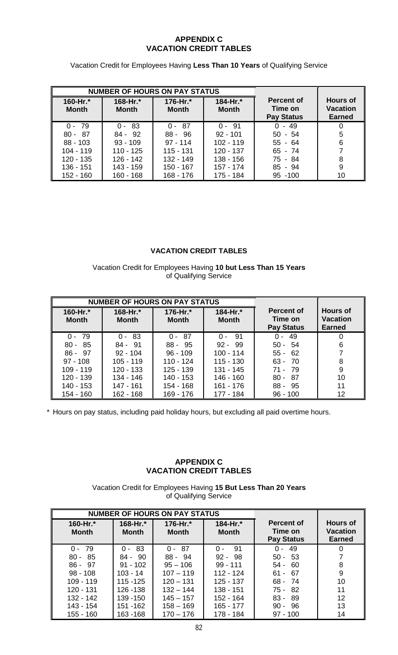## **APPENDIX C VACATION CREDIT TABLES**

Vacation Credit for Employees Having **Less Than 10 Years** of Qualifying Service

| <b>NUMBER OF HOURS ON PAY STATUS</b> |                          |                          |                          |                                                   |                                                     |
|--------------------------------------|--------------------------|--------------------------|--------------------------|---------------------------------------------------|-----------------------------------------------------|
| 160-Hr.*<br><b>Month</b>             | 168-Hr.*<br><b>Month</b> | 176-Hr.*<br><b>Month</b> | 184-Hr.*<br><b>Month</b> | <b>Percent of</b><br>Time on<br><b>Pay Status</b> | <b>Hours of</b><br><b>Vacation</b><br><b>Earned</b> |
| $0 - 79$                             | $0 - 83$                 | $0 - 87$                 | $0 - 91$                 | $0 - 49$                                          |                                                     |
| $80 - 87$                            | $84 - 92$                | $88 - 96$                | $92 - 101$               | $50 - 54$                                         | 5                                                   |
| $88 - 103$                           | $93 - 109$               | $97 - 114$               | $102 - 119$              | $55 - 64$                                         | 6                                                   |
| $104 - 119$                          | $110 - 125$              | $115 - 131$              | $120 - 137$              | $65 - 74$                                         |                                                     |
| $120 - 135$                          | $126 - 142$              | 132 - 149                | 138 - 156                | 75 - 84                                           | 8                                                   |
| 136 - 151                            | 143 - 159                | 150 - 167                | 157 - 174                | $85 - 94$                                         | 9                                                   |
| $152 - 160$                          | $160 - 168$              | 168 - 176                | 175 - 184                | 95 - 100                                          | 10                                                  |

## **VACATION CREDIT TABLES**

Vacation Credit for Employees Having **10 but Less Than 15 Years** of Qualifying Service

| <b>NUMBER OF HOURS ON PAY STATUS</b> |                          |                          |                          |                                                   |                                                     |
|--------------------------------------|--------------------------|--------------------------|--------------------------|---------------------------------------------------|-----------------------------------------------------|
| 160-Hr.*<br><b>Month</b>             | 168-Hr.*<br><b>Month</b> | 176-Hr.*<br><b>Month</b> | 184-Hr.*<br><b>Month</b> | <b>Percent of</b><br>Time on<br><b>Pay Status</b> | <b>Hours of</b><br><b>Vacation</b><br><b>Earned</b> |
| - 79<br>$0 -$                        | $0 - 83$                 | $0 - 87$                 | - 91<br>$0 -$            | -49<br>$0 -$                                      | 0                                                   |
| $80 - 85$                            | $84 - 91$                | 88 - 95                  | $92 - 99$                | $50 - 54$                                         | 6                                                   |
| $86 - 97$                            | $92 - 104$               | $96 - 109$               | $100 - 114$              | $55 - 62$                                         |                                                     |
| $97 - 108$                           | $105 - 119$              | 110 - 124                | $115 - 130$              | $63 - 70$                                         | 8                                                   |
| $109 - 119$                          | 120 - 133                | $125 - 139$              | 131 - 145                | $71 - 79$                                         | 9                                                   |
| 120 - 139                            | 134 - 146                | 140 - 153                | 146 - 160                | $80 -$<br>- 87                                    | 10                                                  |
| 140 - 153                            | $147 - 161$              | 154 - 168                | 161 - 176                | $88 - 95$                                         | 11                                                  |
| 154 - 160                            | 162 - 168                | 169 - 176                | 177 - 184                | $96 - 100$                                        | 12                                                  |

\* Hours on pay status, including paid holiday hours, but excluding all paid overtime hours.

## **APPENDIX C VACATION CREDIT TABLES**

Vacation Credit for Employees Having **15 But Less Than 20 Years** of Qualifying Service

| <b>NUMBER OF HOURS ON PAY STATUS</b> |                          |                          |                          |                                            |                                                     |
|--------------------------------------|--------------------------|--------------------------|--------------------------|--------------------------------------------|-----------------------------------------------------|
| 160-Hr.*<br><b>Month</b>             | 168-Hr.*<br><b>Month</b> | 176-Hr.*<br><b>Month</b> | 184-Hr.*<br><b>Month</b> | Percent of<br>Time on<br><b>Pay Status</b> | <b>Hours of</b><br><b>Vacation</b><br><b>Earned</b> |
| $0 - 79$                             | 83<br>$\Omega$ -         | -87<br>$0 -$             | 91<br>$\Omega$ -         | 49<br>$0 -$                                |                                                     |
| $80 - 85$                            | $84 - 90$                | $88 - 94$                | $92 - 98$                | $50 - 53$                                  |                                                     |
| $86 - 97$                            | $91 - 102$               | $95 - 106$               | $99 - 111$               | $54 - 60$                                  | 8                                                   |
| $98 - 108$                           | $103 - 14$               | $107 - 119$              | 112 - 124                | $61 - 67$                                  | 9                                                   |
| $109 - 119$                          | $115 - 125$              | $120 - 131$              | $125 - 137$              | $68 - 74$                                  | 10                                                  |
| 120 - 131                            | 126 - 138                | $132 - 144$              | 138 - 151                | $75 - 82$                                  | 11                                                  |
| 132 - 142                            | 139 - 150                | $145 - 157$              | 152 - 164                | $83 - 89$                                  | 12                                                  |
| 143 - 154                            | 151 - 162                | $158 - 169$              | 165 - 177                | $90 - 96$                                  | 13                                                  |
| 155 - 160                            | 163 - 168                | $170 - 176$              | 178 - 184                | $97 - 100$                                 | 14                                                  |